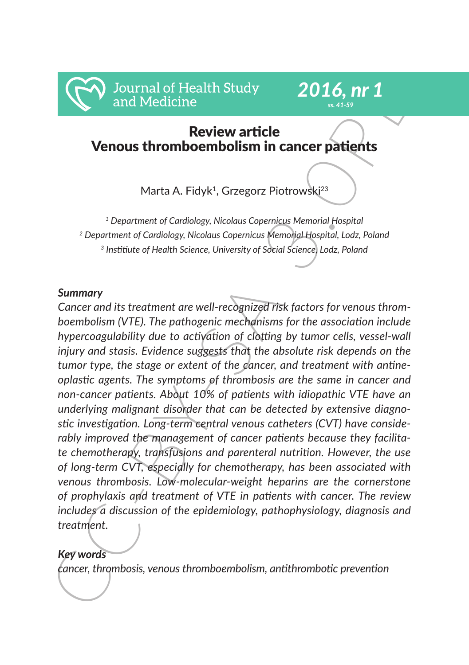

# *2016, nr 1 ss. 41-59*

# Review article Venous thromboembolism in cancer patients

Marta A. Fidyk<sup>1</sup>, Grzegorz Piotrowski<sup>23</sup>

*1 Department of Cardiology, Nicolaus Copernicus Memorial Hospital 2 Department of Cardiology, Nicolaus Copernicus Memorial Hospital, Lodz, Poland <sup>3</sup> Institiute of Health Science, University of Social Science, Lodz, Poland*

### *Summary*

CC-BY-SA 3.0PL *Cancer and its treatment are well-recognized risk factors for venous thromboembolism (VTE). The pathogenic mechanisms for the association include hypercoagulability due to activation of clotting by tumor cells, vessel-wall injury and stasis. Evidence suggests that the absolute risk depends on the tumor type, the stage or extent of the cancer, and treatment with antineoplastic agents. The symptoms of thrombosis are the same in cancer and non-cancer patients. About 10% of patients with idiopathic VTE have an underlying malignant disorder that can be detected by extensive diagnostic investigation. Long-term central venous catheters (CVT) have considerably improved the management of cancer patients because they facilitate chemotherapy, transfusions and parenteral nutrition. However, the use of long-term CVT, especially for chemotherapy, has been associated with venous thrombosis. Low-molecular-weight heparins are the cornerstone of prophylaxis and treatment of VTE in patients with cancer. The review includes a discussion of the epidemiology, pathophysiology, diagnosis and treatment.*

## *Key words*

*cancer, thrombosis, venous thromboembolism, antithrombotic prevention*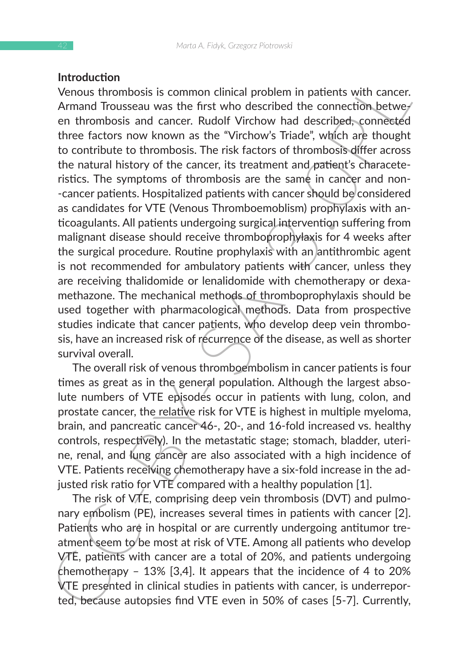#### **Introduction**

Introduction<br>
Wenous thrombosis is common clinical problem in patients with cancer.<br>
Venous thrombosis and cancer. Rudolf Virchow had described; connection,<br>between the cators now known as the "Virchow S Triade", which ar Venous thrombosis is common clinical problem in patients with cancer. Armand Trousseau was the first who described the connection between thrombosis and cancer. Rudolf Virchow had described, connected three factors now known as the "Virchow's Triade", which are thought to contribute to thrombosis. The risk factors of thrombosis differ across the natural history of the cancer, its treatment and patient's characeteristics. The symptoms of thrombosis are the same in cancer and non- -cancer patients. Hospitalized patients with cancer should be considered as candidates for VTE (Venous Thromboemoblism) prophylaxis with anticoagulants. All patients undergoing surgical intervention suffering from malignant disease should receive thromboprophylaxis for 4 weeks after the surgical procedure. Routine prophylaxis with an antithrombic agent is not recommended for ambulatory patients with cancer, unless they are receiving thalidomide or lenalidomide with chemotherapy or dexamethazone. The mechanical methods of thromboprophylaxis should be used together with pharmacological methods. Data from prospective studies indicate that cancer patients, who develop deep vein thrombosis, have an increased risk of recurrence of the disease, as well as shorter survival overall.

The overall risk of venous thromboembolism in cancer patients is four times as great as in the general population. Although the largest absolute numbers of VTE episodes occur in patients with lung, colon, and prostate cancer, the relative risk for VTE is highest in multiple myeloma, brain, and pancreatic cancer 46-, 20-, and 16-fold increased vs. healthy controls, respectively). In the metastatic stage; stomach, bladder, uterine, renal, and lung cancer are also associated with a high incidence of VTE. Patients receiving chemotherapy have a six-fold increase in the adjusted risk ratio for VTE compared with a healthy population [1].

The risk of VTE, comprising deep vein thrombosis (DVT) and pulmonary embolism (PE), increases several times in patients with cancer [2]. Patients who are in hospital or are currently undergoing antitumor treatment seem to be most at risk of VTE. Among all patients who develop VTE, patients with cancer are a total of 20%, and patients undergoing chemotherapy – 13% [3,4]. It appears that the incidence of 4 to 20% VTE presented in clinical studies in patients with cancer, is underreported, because autopsies find VTE even in 50% of cases [5-7]. Currently,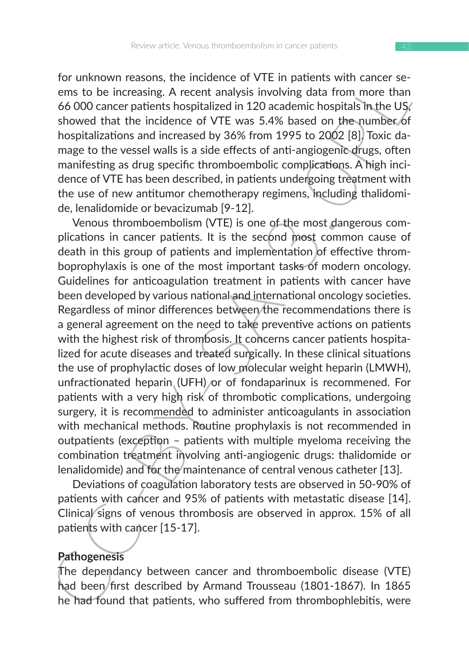for unknown reasons, the incidence of VTE in patients with cancer seems to be increasing. A recent analysis involving data from more than 66 000 cancer patients hospitalized in 120 academic hospitals in the US, showed that the incidence of VTE was 5.4% based on the number of hospitalizations and increased by 36% from 1995 to 2002 [8]. Toxic damage to the vessel walls is a side effects of anti-angiogenic drugs, often manifesting as drug specific thromboembolic complications. A high incidence of VTE has been described, in patients undergoing treatment with the use of new antitumor chemotherapy regimens, including thalidomide, lenalidomide or bevacizumab [9-12].

For unknown reasons, the incidence of V1E in pathets with care se-<br>permission, the increasing. A recent analysis involving data from more than<br>6.000 cancer patients hospitalized in 120 academic hospitals Th, the U<sub>S</sub>/<br>show Venous thromboembolism (VTE) is one of the most dangerous complications in cancer patients. It is the second most common cause of death in this group of patients and implementation of effective thromboprophylaxis is one of the most important tasks of modern oncology. Guidelines for anticoagulation treatment in patients with cancer have been developed by various national and international oncology societies. Regardless of minor differences between the recommendations there is a general agreement on the need to take preventive actions on patients with the highest risk of thrombosis. It concerns cancer patients hospitalized for acute diseases and treated surgically. In these clinical situations the use of prophylactic doses of low molecular weight heparin (LMWH), unfractionated heparin (UFH) or of fondaparinux is recommened. For patients with a very high risk of thrombotic complications, undergoing surgery, it is recommended to administer anticoagulants in association with mechanical methods. Routine prophylaxis is not recommended in outpatients (exception – patients with multiple myeloma receiving the combination treatment involving anti-angiogenic drugs: thalidomide or lenalidomide) and for the maintenance of central venous catheter [13].

Deviations of coagulation laboratory tests are observed in 50-90% of patients with cancer and 95% of patients with metastatic disease [14]. Clinical signs of venous thrombosis are observed in approx. 15% of all patients with cancer [15-17].

### **Pathogenesis**

The dependancy between cancer and thromboembolic disease (VTE) had been/first described by Armand Trousseau (1801-1867). In 1865 he had found that patients, who suffered from thrombophlebitis, were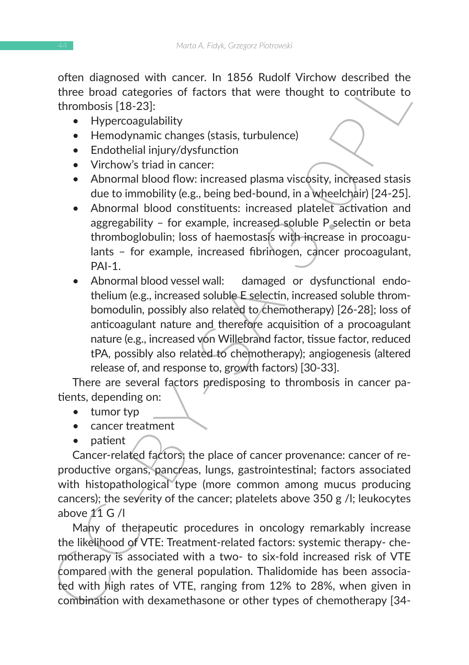often diagnosed with cancer. In 1856 Rudolf Virchow described the three broad categories of factors that were thought to contribute to thrombosis [18-23]:

- Hypercoagulability
- Hemodynamic changes (stasis, turbulence)
- Endothelial injury/dysfunction
- Virchow's triad in cancer:
- Abnormal blood flow: increased plasma viscosity, increased stasis due to immobility (e.g., being bed-bound, in a wheelchair) [24-25].
- Abnormal blood constituents: increased platelet activation and aggregability – for example, increased soluble P selectin or beta thromboglobulin; loss of haemostasis with increase in procoagulants – for example, increased fibrinogen, cancer procoagulant, PAI-1
- orten orangoesed with cancer. In 1250 Nuordo Wernow described the<br>
three broad categories of factors that were thought to contribute to<br>
three broad categories of factors that were thought to contribute to<br>
thromboss [18-2 • Abnormal blood vessel wall: damaged or dysfunctional endothelium (e.g., increased soluble E selectin, increased soluble thrombomodulin, possibly also related to chemotherapy) [26-28]; loss of anticoagulant nature and therefore acquisition of a procoagulant nature (e.g., increased von Willebrand factor, tissue factor, reduced tPA, possibly also related to chemotherapy); angiogenesis (altered release of, and response to, growth factors) [30-33].

There are several factors predisposing to thrombosis in cancer patients, depending on:

- tumor typ
- cancer treatment
- patient

Cancer-related factors: the place of cancer provenance: cancer of reproductive organs, pancreas, lungs, gastrointestinal; factors associated with histopathological type (more common among mucus producing cancers); the severity of the cancer; platelets above 350 g /l; leukocytes above  $11 \text{ G}$  /l

Many of therapeutic procedures in oncology remarkably increase the likelihood of VTE: Treatment-related factors: systemic therapy- chemotherapy is associated with a two- to six-fold increased risk of VTE compared with the general population. Thalidomide has been associated with high rates of VTE, ranging from 12% to 28%, when given in combination with dexamethasone or other types of chemotherapy [34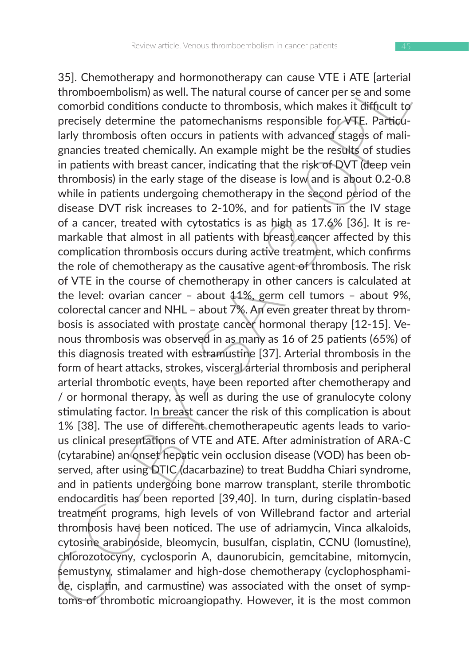3.). Chemotherapy and normonotherapy can cause V11 is Alter areas in the gath of thromboenbols may as well. The natural course of cancer per se and some comorbid conditions conducte to thrombosis, which makes it difficult 35]. Chemotherapy and hormonotherapy can cause VTE i ATE [arterial thromboembolism) as well. The natural course of cancer per se and some comorbid conditions conducte to thrombosis, which makes it difficult to precisely determine the patomechanisms responsible for VTE. Particularly thrombosis often occurs in patients with advanced stages of malignancies treated chemically. An example might be the results of studies in patients with breast cancer, indicating that the risk of DVT (deep vein thrombosis) in the early stage of the disease is low and is about 0.2-0.8 while in patients undergoing chemotherapy in the second period of the disease DVT risk increases to 2-10%, and for patients in the IV stage of a cancer, treated with cytostatics is as high as 17.6% [36]. It is remarkable that almost in all patients with breast cancer affected by this complication thrombosis occurs during active treatment, which confirms the role of chemotherapy as the causative agent of thrombosis. The risk of VTE in the course of chemotherapy in other cancers is calculated at the level: ovarian cancer – about 11%, germ cell tumors – about 9%, colorectal cancer and NHL – about 7%. An even greater threat by thrombosis is associated with prostate cancer hormonal therapy [12-15]. Venous thrombosis was observed in as many as 16 of 25 patients (65%) of this diagnosis treated with estramustine [37]. Arterial thrombosis in the form of heart attacks, strokes, visceral arterial thrombosis and peripheral arterial thrombotic events, have been reported after chemotherapy and / or hormonal therapy, as well as during the use of granulocyte colony stimulating factor. In breast cancer the risk of this complication is about 1% [38]. The use of different chemotherapeutic agents leads to various clinical presentations of VTE and ATE. After administration of ARA-C (cytarabine) an onset hepatic vein occlusion disease (VOD) has been observed, after using DTIC (dacarbazine) to treat Buddha Chiari syndrome, and in patients undergoing bone marrow transplant, sterile thrombotic endocarditis has been reported [39,40]. In turn, during cisplatin-based treatment programs, high levels of von Willebrand factor and arterial thrombosis have been noticed. The use of adriamycin, Vinca alkaloids, cytosine arabinoside, bleomycin, busulfan, cisplatin, CCNU (lomustine), chlorozotocyny, cyclosporin A, daunorubicin, gemcitabine, mitomycin, semustyny, stimalamer and high-dose chemotherapy (cyclophosphamide, cisplatin, and carmustine) was associated with the onset of symptoms of thrombotic microangiopathy. However, it is the most common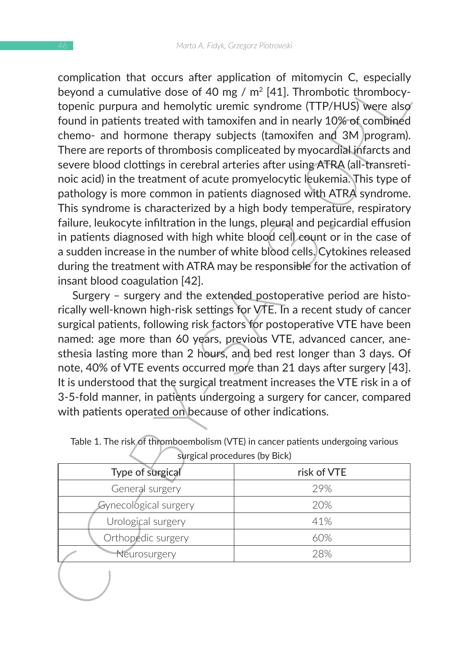complication that occurring the rapidication of mitomycin C, especially<br>complication and non-diversion of mitomycin C, especially to<br>popula a cumulative dose of 40 mg / m<sup>2</sup> [41]. Thrombotic thrombocy-<br>topenic purpura and complication that occurs after application of mitomycin C, especially beyond a cumulative dose of 40 mg /  $m<sup>2</sup>$  [41]. Thrombotic thrombocytopenic purpura and hemolytic uremic syndrome (TTP/HUS) were also found in patients treated with tamoxifen and in nearly 10% of combined chemo- and hormone therapy subjects (tamoxifen and 3M program). There are reports of thrombosis compliceated by myocardial infarcts and severe blood clottings in cerebral arteries after using ATRA (all-transretinoic acid) in the treatment of acute promyelocytic leukemia. This type of pathology is more common in patients diagnosed with ATRA syndrome. This syndrome is characterized by a high body temperature, respiratory failure, leukocyte infiltration in the lungs, pleural and pericardial effusion in patients diagnosed with high white blood cell count or in the case of a sudden increase in the number of white blood cells. Cytokines released during the treatment with ATRA may be responsible for the activation of insant blood coagulation [42].

Surgery – surgery and the extended postoperative period are historically well-known high-risk settings for VTE. In a recent study of cancer surgical patients, following risk factors for postoperative VTE have been named: age more than 60 years, previous VTE, advanced cancer, anesthesia lasting more than 2 hours, and bed rest longer than 3 days. Of note, 40% of VTE events occurred more than 21 days after surgery [43]. It is understood that the surgical treatment increases the VTE risk in a of 3-5-fold manner, in patients undergoing a surgery for cancer, compared with patients operated on because of other indications.

| Type of surgical      | risk of VTE |
|-----------------------|-------------|
| General surgery       | 29%         |
| Gynecological surgery | 20%         |
| Urological surgery    | 41%         |
| Orthopedic surgery    | 60%         |
| Neurosurgery          | 28%         |

Table 1. The risk of thromboembolism (VTE) in cancer patients undergoing various

surgical procedures (by Bick)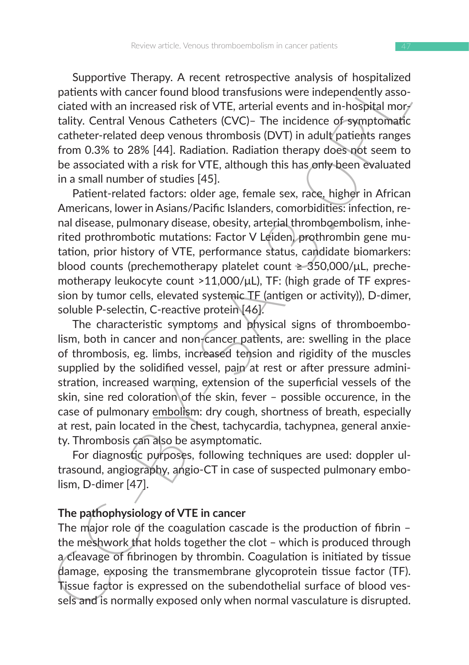Supportive Therapy. A recent retrospective analysis of hospitalized patients with cancer found blood transfusions were independently associated with an increased risk of VTE, arterial events and in-hospital mortality. Central Venous Catheters (CVC)– The incidence of symptomatic catheter-related deep venous thrombosis (DVT) in adult patients ranges from 0.3% to 28% [44]. Radiation. Radiation therapy does not seem to be associated with a risk for VTE, although this has only been evaluated in a small number of studies [45].

Patient-related factors: older age, female sex, race, higher in African Americans, lower in Asians/Pacific Islanders, comorbidities: infection, renal disease, pulmonary disease, obesity, arterial thromboembolism, inherited prothrombotic mutations: Factor V Leiden, prothrombin gene mutation, prior history of VTE, performance status, candidate biomarkers: blood counts (prechemotherapy platelet count  $\geq$  350,000/ $\mu$ L, prechemotherapy leukocyte count >11,000/μL), TF: (high grade of TF expression by tumor cells, elevated systemic TF (antigen or activity)), D-dimer, soluble P-selectin, C-reactive protein [46].

supporter Interapy. A Preent retrospective analysis or hospitalized by apporter than the cost and the particular particle and the cost and the cost and the cost and the cost and the cost and the cost and the cost and the c The characteristic symptoms and physical signs of thromboembolism, both in cancer and non-cancer patients, are: swelling in the place of thrombosis, eg. limbs, increased tension and rigidity of the muscles supplied by the solidified vessel, pain at rest or after pressure administration, increased warming, extension of the superficial vessels of the skin, sine red coloration of the skin, fever – possible occurence, in the case of pulmonary embolism: dry cough, shortness of breath, especially at rest, pain located in the chest, tachycardia, tachypnea, general anxiety. Thrombosis can also be asymptomatic.

For diagnostic purposes, following techniques are used: doppler ultrasound, angiography, angio-CT in case of suspected pulmonary embolism, D-dimer [47].

### **The pathophysiology of VTE in cancer**

The major role of the coagulation cascade is the production of fibrin the meshwork that holds together the clot – which is produced through a cleavage of fibrinogen by thrombin. Coagulation is initiated by tissue damage, exposing the transmembrane glycoprotein tissue factor (TF). Tissue factor is expressed on the subendothelial surface of blood vessels and is normally exposed only when normal vasculature is disrupted.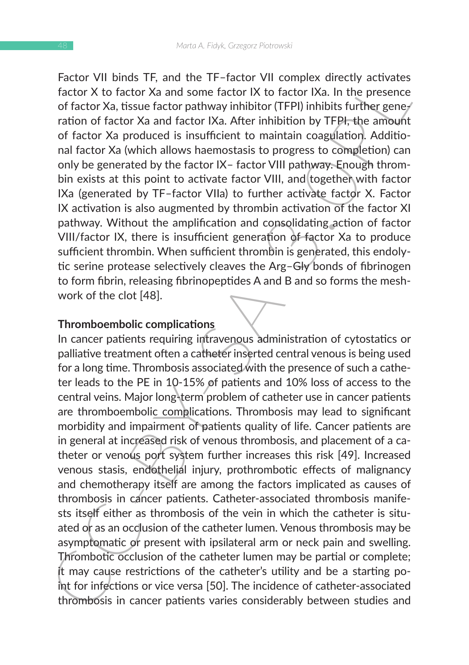Factor VII binds TF, and the TF–factor VII complex directly activates factor X to factor Xa and some factor IX to factor IXa. In the presence of factor Xa, tissue factor pathway inhibitor (TFPI) inhibits further generation of factor Xa and factor IXa. After inhibition by TFPI, the amount of factor Xa produced is insufficient to maintain coagulation. Additional factor Xa (which allows haemostasis to progress to completion) can only be generated by the factor IX– factor VIII pathway. Enough thrombin exists at this point to activate factor VIII, and together with factor IXa (generated by TF–factor VIIa) to further activate factor X. Factor IX activation is also augmented by thrombin activation of the factor XI pathway. Without the amplification and consolidating action of factor VIII/factor IX, there is insufficient generation of factor Xa to produce sufficient thrombin. When sufficient thrombin is generated, this endolytic serine protease selectively cleaves the Arg–Gly bonds of fibrinogen to form fibrin, releasing fibrinopeptides A and B and so forms the meshwork of the clot [48].

#### **Thromboembolic complications**

Factor VI binns II., and the II-r-actor VII complex directly actuates<br>factor X to factor X as and some factor IX to factor IXa. In the presence<br>of factor X a, tissue factor Data Mar including treply intilibits further gen In cancer patients requiring intravenous administration of cytostatics or palliative treatment often a catheter inserted central venous is being used for a long time. Thrombosis associated with the presence of such a catheter leads to the PE in 10-15% of patients and 10% loss of access to the central veins. Major long-term problem of catheter use in cancer patients are thromboembolic complications. Thrombosis may lead to significant morbidity and impairment of patients quality of life. Cancer patients are in general at increased risk of venous thrombosis, and placement of a catheter or venous port system further increases this risk [49]. Increased venous stasis, endothelial injury, prothrombotic effects of malignancy and chemotherapy itself are among the factors implicated as causes of thrombosis in cancer patients. Catheter-associated thrombosis manifests itself either as thrombosis of the vein in which the catheter is situated or as an occlusion of the catheter lumen. Venous thrombosis may be asymptomatic or present with ipsilateral arm or neck pain and swelling. Thrombotic occlusion of the catheter lumen may be partial or complete; it may cause restrictions of the catheter's utility and be a starting point for infections or vice versa [50]. The incidence of catheter-associated thrombosis in cancer patients varies considerably between studies and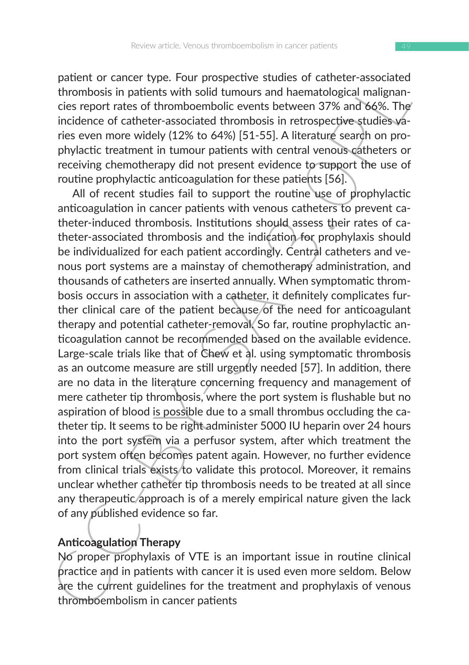patient or cancer type. Four prospective studies of catheter-associated thrombosis in patients with solid tumours and haematological malignancies report rates of thromboembolic events between 37% and 66%. The incidence of catheter-associated thrombosis in retrospective studies varies even more widely (12% to 64%) [51-55]. A literature search on prophylactic treatment in tumour patients with central venous catheters or receiving chemotherapy did not present evidence to support the use of routine prophylactic anticoagulation for these patients [56].

paraner or cancer type. Four prospectue studies or cathere-associated<br>paranet or cancer by the prospectue studies of the properties of the properties export rates of thrombosis in particles export rates of thrombosin in ex All of recent studies fail to support the routine use of prophylactic anticoagulation in cancer patients with venous catheters to prevent catheter-induced thrombosis. Institutions should assess their rates of catheter-associated thrombosis and the indication for prophylaxis should be individualized for each patient accordingly. Central catheters and venous port systems are a mainstay of chemotherapy administration, and thousands of catheters are inserted annually. When symptomatic thrombosis occurs in association with a catheter, it definitely complicates further clinical care of the patient because of the need for anticoagulant therapy and potential catheter-removal. So far, routine prophylactic anticoagulation cannot be recommended based on the available evidence. Large-scale trials like that of Chew et al. using symptomatic thrombosis as an outcome measure are still urgently needed [57]. In addition, there are no data in the literature concerning frequency and management of mere catheter tip thrombosis, where the port system is flushable but no aspiration of blood is possible due to a small thrombus occluding the catheter tip. It seems to be right administer 5000 IU heparin over 24 hours into the port system via a perfusor system, after which treatment the port system often becomes patent again. However, no further evidence from clinical trials exists to validate this protocol. Moreover, it remains unclear whether catheter tip thrombosis needs to be treated at all since any therapeutic/approach is of a merely empirical nature given the lack of any published evidence so far.

### **Anticoagulation Therapy**

No proper prophylaxis of VTE is an important issue in routine clinical practice and in patients with cancer it is used even more seldom. Below are the current guidelines for the treatment and prophylaxis of venous thromboembolism in cancer patients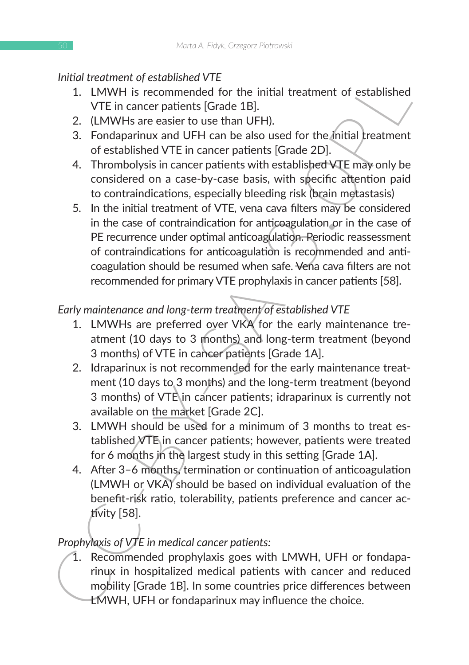## *Initial treatment of established VTE*

- 1. LMWH is recommended for the initial treatment of established VTE in cancer patients [Grade 1B].
- 2. (LMWHs are easier to use than UFH).
- 3. Fondaparinux and UFH can be also used for the initial treatment of established VTE in cancer patients [Grade 2D].
- 4. Thrombolysis in cancer patients with established VTE may only be considered on a case-by-case basis, with specific attention paid to contraindications, especially bleeding risk (brain metastasis)
- Intratementro established<br>
1. LMWH is recommended for the initial treatment of established<br>
2. LMWH is recommended for the initial treatment of established<br>
2. LMWH is recommended for the initial treatment<br>
2. CLMWH is ar 5. In the initial treatment of VTE, vena cava filters may be considered in the case of contraindication for anticoagulation or in the case of PE recurrence under optimal anticoagulation. Periodic reassessment of contraindications for anticoagulation is recommended and anticoagulation should be resumed when safe. Vena cava filters are not recommended for primary VTE prophylaxis in cancer patients [58].

# *Early maintenance and long-term treatment of established VTE*

- 1. LMWHs are preferred over VKA for the early maintenance treatment (10 days to 3 months) and long-term treatment (beyond 3 months) of VTE in cancer patients [Grade 1A].
- 2. Idraparinux is not recommended for the early maintenance treatment (10 days to 3 months) and the long-term treatment (beyond 3 months) of VTE in cancer patients; idraparinux is currently not available on the market [Grade 2C].
- 3. LMWH should be used for a minimum of 3 months to treat established VTE in cancer patients; however, patients were treated for 6 months in the largest study in this setting [Grade 1A].
- 4. After 3–6 months, termination or continuation of anticoagulation (LMWH or VKA) should be based on individual evaluation of the benefit-risk ratio, tolerability, patients preference and cancer activity [58].

# *Prophylaxis of VTE in medical cancer patients:*

1. Recommended prophylaxis goes with LMWH, UFH or fondaparinux in hospitalized medical patients with cancer and reduced mobility [Grade 1B]. In some countries price differences between LMWH, UFH or fondaparinux may influence the choice.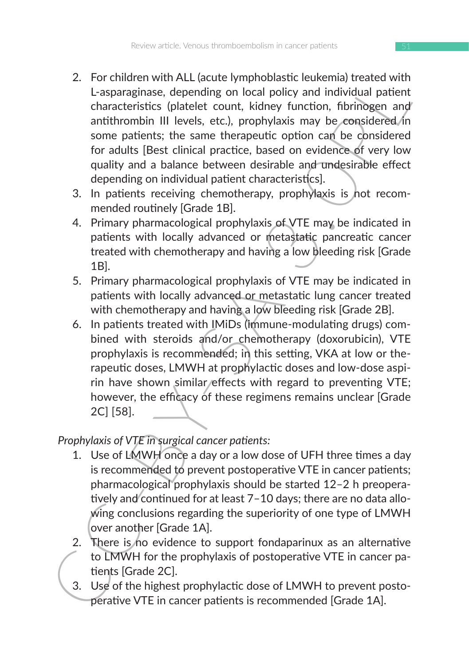- 2. For Chinem with ALL cactus (winy phobals are lowely and a distinguistie ends with a scapar<br>aginase, depending on local policy and individual patient<br>that characteristics (platelet count, kidney function, fibrinogen and 2. For children with ALL (acute lymphoblastic leukemia) treated with L-asparaginase, depending on local policy and individual patient characteristics (platelet count, kidney function, fibrinogen and antithrombin III levels, etc.), prophylaxis may be considered in some patients; the same therapeutic option can be considered for adults [Best clinical practice, based on evidence of very low quality and a balance between desirable and undesirable effect depending on individual patient characteristics].
	- 3. In patients receiving chemotherapy, prophylaxis is not recommended routinely [Grade 1B].
	- 4. Primary pharmacological prophylaxis of VTE may be indicated in patients with locally advanced or metastatic pancreatic cancer treated with chemotherapy and having a low bleeding risk [Grade 1B].
	- 5. Primary pharmacological prophylaxis of VTE may be indicated in patients with locally advanced or metastatic lung cancer treated with chemotherapy and having a low bleeding risk [Grade 2B].
	- 6. In patients treated with IMiDs (immune-modulating drugs) combined with steroids and/or chemotherapy (doxorubicin), VTE prophylaxis is recommended; in this setting, VKA at low or therapeutic doses, LMWH at prophylactic doses and low-dose aspirin have shown similar/effects with regard to preventing VTE; however, the efficacy of these regimens remains unclear [Grade 2C] [58].

## *Prophylaxis of VTE in surgical cancer patients:*

- 1. Use of LMWH once a day or a low dose of UFH three times a day is recommended to prevent postoperative VTE in cancer patients; pharmacological prophylaxis should be started 12–2 h preoperatively and continued for at least 7-10 days; there are no data allowing conclusions regarding the superiority of one type of LMWH over another [Grade 1A].
- 2. There is no evidence to support fondaparinux as an alternative to LMWH for the prophylaxis of postoperative VTE in cancer patients [Grade 2C].
- 3. Use of the highest prophylactic dose of LMWH to prevent postoperative VTE in cancer patients is recommended [Grade 1A].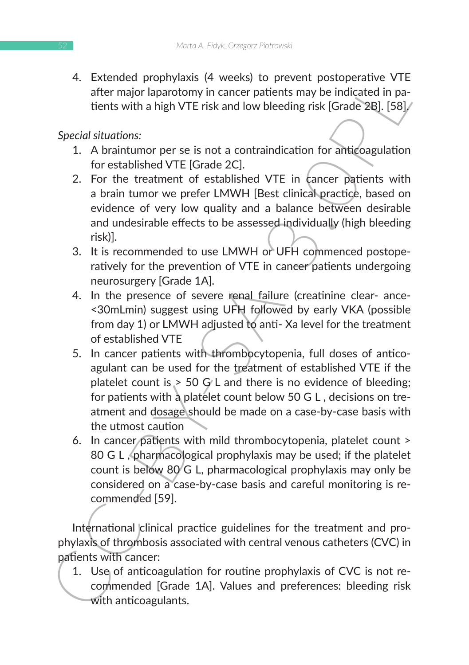4. Extended prophylaxis (4 weeks) to prevent postoperative VTE after major laparotomy in cancer patients may be indicated in patients with a high VTE risk and low bleeding risk [Grade 2B]. [58].

*Special situations:*

- 1. A braintumor per se is not a contraindication for anticoagulation for established VTE [Grade 2C].
- 2. For the treatment of established VTE in cancer patients with a brain tumor we prefer LMWH [Best clinical practice, based on evidence of very low quality and a balance between desirable and undesirable effects to be assessed individually (high bleeding risk)].
- 3. It is recommended to use LMWH or UFH commenced postoperatively for the prevention of VTE in cancer patients undergoing neurosurgery [Grade 1A].
- 4. In the presence of severe renal failure (creatinine clear- ance- <30mLmin) suggest using UFH followed by early VKA (possible from day 1) or LMWH adjusted to anti- Xa level for the treatment of established VTE
- 4. Extreded prophyaxis (4 weeks) to prevent postoperative V1.<br>
after major laparatomy in cancer patients may be indicated in pa-<br>
tent major laparatomy in cancer patients may be indicated in pa-<br>
tent major laparatomy in c 5. In cancer patients with thrombocytopenia, full doses of anticoagulant can be used for the treatment of established VTE if the platelet count is  $>$  50 G/L and there is no evidence of bleeding; for patients with a platelet count below 50 G L , decisions on treatment and dosage should be made on a case-by-case basis with the utmost caution
	- 6. In cancer patients with mild thrombocytopenia, platelet count > 80 G L , pharmacological prophylaxis may be used; if the platelet count is below 80 G L, pharmacological prophylaxis may only be considered on a case-by-case basis and careful monitoring is recommended [59].

International clinical practice guidelines for the treatment and prophylaxis of thrombosis associated with central venous catheters (CVC) in patients with cancer:

1. Use of anticoagulation for routine prophylaxis of CVC is not recommended [Grade 1A]. Values and preferences: bleeding risk with anticoagulants.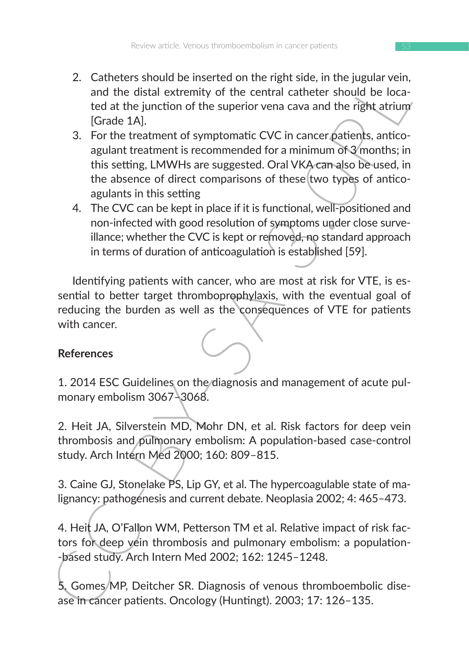- 2. Catheters should be inserted on the right side, in the jugular vein, and the distal extremity of the central catheter should be located at the junction of the superior vena cava and the right atrium [Grade 1A].
- 2. Cannetes snow the mean street on the mean stop. In the jugitar vent, a case that the distal extremity of the central catheer should be located at the junction of the superbor vena cava and the right atrium (Grade 1A).<br> 3. For the treatment of symptomatic CVC in cancer patients, anticoagulant treatment is recommended for a minimum of 3 months; in this setting, LMWHs are suggested. Oral VKA can also be used, in the absence of direct comparisons of these two types of anticoagulants in this setting
	- 4. The CVC can be kept in place if it is functional, well-positioned and non-infected with good resolution of symptoms under close surveillance; whether the CVC is kept or removed, no standard approach in terms of duration of anticoagulation is established [59].

Identifying patients with cancer, who are most at risk for VTE, is essential to better target thromboprophylaxis, with the eventual goal of reducing the burden as well as the consequences of VTE for patients with cancer.

## **References**

1. 2014 ESC Guidelines on the diagnosis and management of acute pulmonary embolism 3067–3068.

2. Heit JA, Silverstein MD, Mohr DN, et al. Risk factors for deep vein thrombosis and pulmonary embolism: A population-based case-control study. Arch Intern Med 2000; 160: 809–815.

3. Caine GJ, Stonelake PS, Lip GY, et al. The hypercoagulable state of malignancy: pathogenesis and current debate. Neoplasia 2002; 4: 465–473.

4. Heit JA, O'Fallon WM, Petterson TM et al. Relative impact of risk factors for deep vein thrombosis and pulmonary embolism: a population- -based study. Arch Intern Med 2002; 162: 1245–1248.

5. Gomes MP, Deitcher SR. Diagnosis of venous thromboembolic disease in cancer patients. Oncology (Huntingt). 2003; 17: 126–135.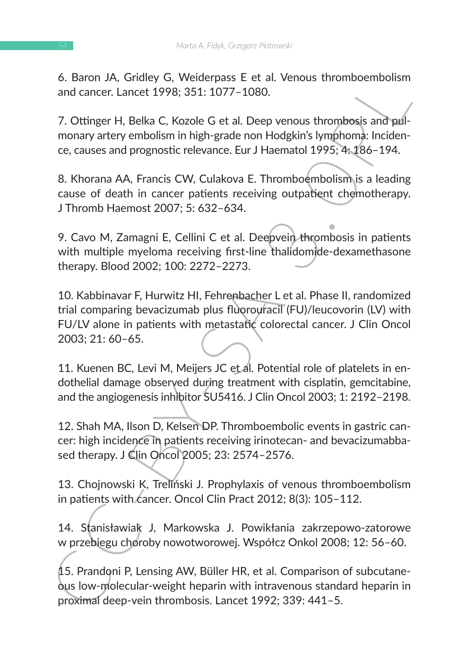6. Baron JA, Gridley G, Weiderpass E et al. Venous thromboembolism and cancer. Lancet 1998; 351: 1077–1080.

7. Ottinger H, Belka C, Kozole G et al. Deep venous thrombosis and pulmonary artery embolism in high-grade non Hodgkin's lymphoma: Incidence, causes and prognostic relevance. Eur J Haematol 1995; 4: 186–194.

8. Khorana AA, Francis CW, Culakova E. Thromboembolism is a leading cause of death in cancer patients receiving outpatient chemotherapy. J Thromb Haemost 2007; 5: 632–634.

9. Cavo M, Zamagni E, Cellini C et al. Deepvein thrombosis in patients with multiple myeloma receiving first-line thalidomide-dexamethasone therapy. Blood 2002; 100: 2272–2273.

o. Isaach JA, Gridley G, Weierepass Let al. Venous thromboembolism<br>
and cancer. Lancet 1998; 351: 1077-1080.<br>
7. Ottinger H, Belka C, Kozole G et al. Deep venous thrombosis and pul-<br>
monary artery embolism in high-grade no 10. Kabbinavar F, Hurwitz HI, Fehrenbacher L et al. Phase II, randomized trial comparing bevacizumab plus fluorouracil (FU)/leucovorin (LV) with FU/LV alone in patients with metastatic colorectal cancer. J Clin Oncol 2003; 21: 60–65.

11. Kuenen BC, Levi M, Meijers JC et al. Potential role of platelets in endothelial damage observed during treatment with cisplatin, gemcitabine, and the angiogenesis inhibitor SU5416. J Clin Oncol 2003; 1: 2192–2198.

12. Shah MA, Ilson D, Kelsen DP. Thromboembolic events in gastric cancer: high incidence in patients receiving irinotecan- and bevacizumabbased therapy. J Clin Oncol 2005; 23: 2574–2576.

13. Chojnowski K, Treliński J. Prophylaxis of venous thromboembolism in patients with cancer. Oncol Clin Pract 2012; 8(3): 105-112.

14. Stanisławiak J, Markowska J. Powikłania zakrzepowo-zatorowe w przebiegu choroby nowotworowej. Współcz Onkol 2008; 12: 56–60.

15. Prandoni P, Lensing AW, Büller HR, et al. Comparison of subcutaneous low-molecular-weight heparin with intravenous standard heparin in proximal deep-vein thrombosis. Lancet 1992; 339: 441–5.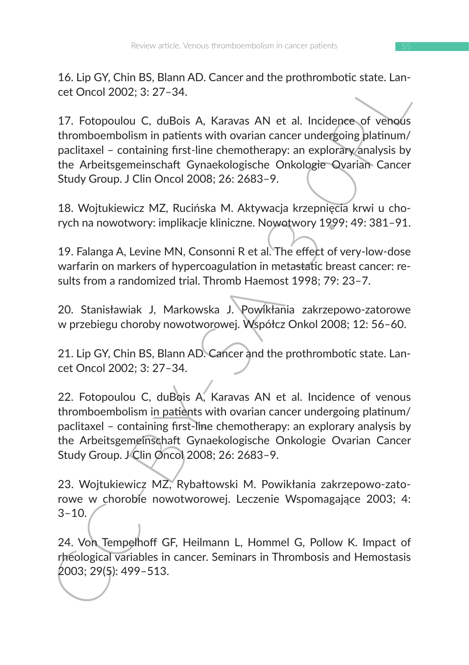16. Lip GY, Chin BS, Blann AD. Cancer and the prothrombotic state. Lancet Oncol 2002; 3: 27–34.

16. Lip GY, Chin BS, Biann AD. Cancer and the prothrombotic state. Lan-<br>
Ce. Unclo 2002; 3: 27-34.<br>
17. Fotopoulou C, duBois A, Karavas AN et al. Incidence of venous<br>
17. Fotopoulou C, duBois A, Karavas AN et al. Incidence 17. Fotopoulou C, duBois A, Karavas AN et al. Incidence of venous thromboembolism in patients with ovarian cancer undergoing platinum/ paclitaxel – containing first-line chemotherapy: an explorary analysis by the Arbeitsgemeinschaft Gynaekologische Onkologie Ovarian Cancer Study Group. J Clin Oncol 2008; 26: 2683–9.

18. Wojtukiewicz MZ, Rucińska M. Aktywacja krzepnięcia krwi u chorych na nowotwory: implikacje kliniczne. Nowotwory 1999; 49: 381–91.

19. Falanga A, Levine MN, Consonni R et al. The effect of very-low-dose warfarin on markers of hypercoagulation in metastatic breast cancer: results from a randomized trial. Thromb Haemost 1998; 79: 23–7.

20. Stanisławiak J, Markowska J. Powikłania zakrzepowo-zatorowe w przebiegu choroby nowotworowej. Współcz Onkol 2008; 12: 56–60.

21. Lip GY, Chin BS, Blann AD. Cancer and the prothrombotic state. Lancet Oncol 2002; 3: 27–34.

22. Fotopoulou C, duBois A, Karavas AN et al. Incidence of venous thromboembolism in patients with ovarian cancer undergoing platinum/ paclitaxel – containing first-line chemotherapy: an explorary analysis by the Arbeitsgemeinschaft Gynaekologische Onkologie Ovarian Cancer Study Group. J Clin Oncol 2008; 26: 2683–9.

23. Wojtukiewicz MZ, Rybałtowski M. Powikłania zakrzepowo-zatorowe w chorobie nowotworowej. Leczenie Wspomagające 2003; 4:  $3 - 10$ .

24. Von Tempelhoff GF, Heilmann L, Hommel G, Pollow K. Impact of rheological variables in cancer. Seminars in Thrombosis and Hemostasis 2003; 29(5): 499–513.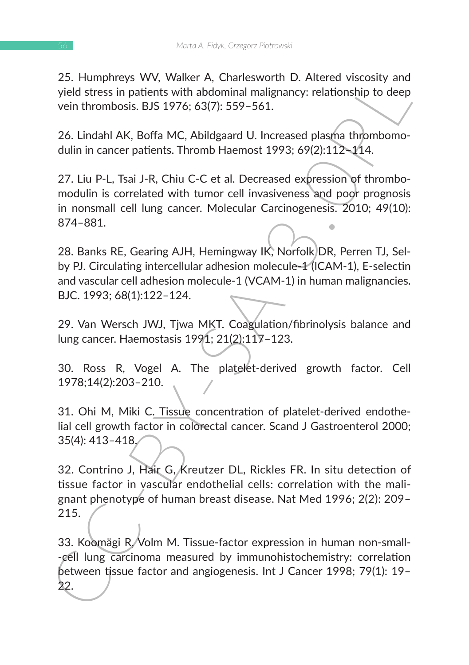25. Humphreys WV, Walker A, Charlesworth D. Altered viscosity and yield stress in patients with abdominal malignancy: relationship to deep vein thrombosis. BJS 1976; 63(7): 559–561.

26. Lindahl AK, Boffa MC, Abildgaard U. Increased plasma thrombomodulin in cancer patients. Thromb Haemost 1993; 69(2):112–114.

27. Liu P-L, Tsai J-R, Chiu C-C et al. Decreased expression of thrombomodulin is correlated with tumor cell invasiveness and poor prognosis in nonsmall cell lung cancer. Molecular Carcinogenesis. 2010; 49(10): 874–881.

28. Banks RE, Gearing AJH, Hemingway IK, Norfolk DR, Perren TJ, Selby PJ. Circulating intercellular adhesion molecule-1 (ICAM-1), E-selectin and vascular cell adhesion molecule-1 (VCAM-1) in human malignancies. BJC. 1993; 68(1):122–124.

29. Van Wersch JWJ, Tjwa MKT. Coagulation/fibrinolysis balance and lung cancer. Haemostasis 1991; 21(2):117–123.

30. Ross R, Vogel A. The platelet-derived growth factor. Cell 1978;14(2):203–210.

31. Ohi M, Miki C. Tissue concentration of platelet-derived endothelial cell growth factor in colorectal cancer. Scand J Gastroenterol 2000; 35(4): 413–418.

32. Contrino J, Hair G, Kreutzer DL, Rickles FR. In situ detection of tissue factor in vascular endothelial cells: correlation with the malignant phenotype of human breast disease. Nat Med 1996; 2(2): 209– 215.

2.5. Humpneys WV, Watter A, Chanesworth D. Attered viscosity and<br>yield stress in patients with abdominal malignancy: relationship to deep<br>vein thrombosis. BJS 1976; 63(7): 559–561.<br>26. Lindahl AK, Boffa MC, Abildgaard U. I 33. Koomägi R. Volm M. Tissue-factor expression in human non-small--cell lung carcinoma measured by immunohistochemistry: correlation between tissue factor and angiogenesis. Int J Cancer 1998; 79(1): 19– 22.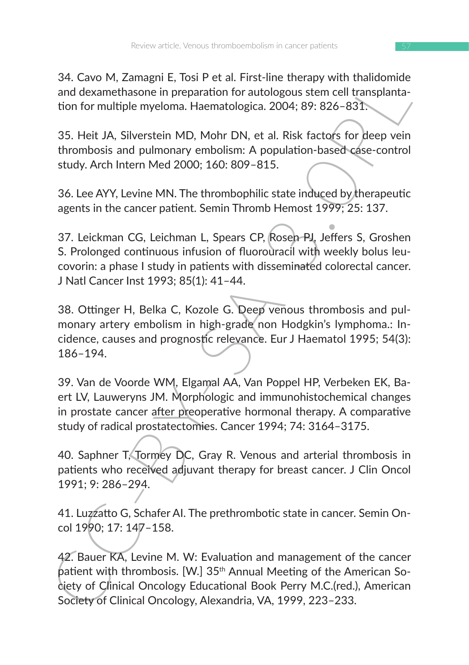34. Cavo M, Zamagni E, Tosi P et al. First-line therapy with thalidomide and dexamethasone in preparation for autologous stem cell transplantation for multiple myeloma. Haematologica. 2004; 89: 826–831.

35. Heit JA, Silverstein MD, Mohr DN, et al. Risk factors for deep vein thrombosis and pulmonary embolism: A population-based case-control study. Arch Intern Med 2000; 160: 809–815.

36. Lee AYY, Levine MN. The thrombophilic state induced by therapeutic agents in the cancer patient. Semin Thromb Hemost 1999; 25: 137.

37. Leickman CG, Leichman L, Spears CP, Rosen PJ, Jeffers S, Groshen S. Prolonged continuous infusion of fluorouracil with weekly bolus leucovorin: a phase I study in patients with disseminated colorectal cancer. J Natl Cancer Inst 1993; 85(1): 41–44.

34. Laovo M, Zamagni E, Iosi Pet al. First-line therenay with translonmical and dexamethasone in preparation for autologous stem cell transplanta-<br>ton for multiple myeloma. Haematologica. 2004; 39: 826-831.<br>35. Heit JA, Si 38. Ottinger H, Belka C, Kozole G. Deep venous thrombosis and pulmonary artery embolism in high-grade non Hodgkin's lymphoma.: Incidence, causes and prognostic relevance. Eur J Haematol 1995; 54(3): 186–194.

39. Van de Voorde WM, Elgamal AA, Van Poppel HP, Verbeken EK, Baert LV, Lauweryns JM. Morphologic and immunohistochemical changes in prostate cancer after preoperative hormonal therapy. A comparative study of radical prostatectomies. Cancer 1994; 74: 3164–3175.

40. Saphner T, Tormey DC, Gray R. Venous and arterial thrombosis in patients who received adjuvant therapy for breast cancer. J Clin Oncol 1991; 9: 286–294.

41. Luzzatto G, Schafer AI. The prethrombotic state in cancer. Semin Oncol 1990; 17: 147–158.

42. Bauer KA, Levine M. W: Evaluation and management of the cancer patient with thrombosis. [W.] 35<sup>th</sup> Annual Meeting of the American Society of Clinical Oncology Educational Book Perry M.C.(red.), American Society of Clinical Oncology, Alexandria, VA, 1999, 223–233.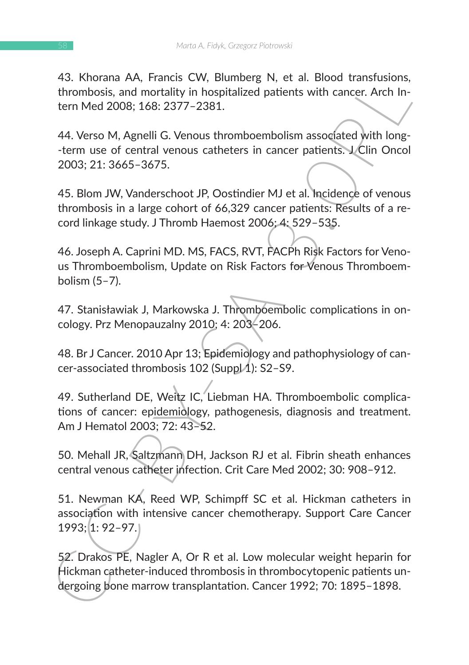43. Khorana AA, Francis CW, Blumberg N, et al. Blood transfusions, thrombosis, and mortality in hospitalized patients with cancer. Arch Intern Med 2008; 168: 2377–2381.

44. Verso M, Agnelli G. Venous thromboembolism associated with long- -term use of central venous catheters in cancer patients. J Clin Oncol 2003; 21: 3665–3675.

45. Blom JW, Vanderschoot JP, Oostindier MJ et al. Incidence of venous thrombosis in a large cohort of 66,329 cancer patients: Results of a record linkage study. J Thromb Haemost 2006; 4: 529–535.

46. Joseph A. Caprini MD. MS, FACS, RVT, FACPh Risk Factors for Venous Thromboembolism, Update on Risk Factors for Venous Thromboembolism (5–7).

47. Stanisławiak J, Markowska J. Thromboembolic complications in oncology. Prz Menopauzalny 2010; 4: 203–206.

48. Br J Cancer. 2010 Apr 13; Epidemiology and pathophysiology of cancer-associated thrombosis 102 (Supp $|$ 4): S2-S9.

49. Sutherland DE, Weitz IC, Liebman HA. Thromboembolic complications of cancer: epidemiology, pathogenesis, diagnosis and treatment. Am J Hematol 2003; 72: 43–52.

50. Mehall JR, Saltzmann DH, Jackson RJ et al. Fibrin sheath enhances central venous catheter infection. Crit Care Med 2002; 30: 908–912.

43. Khorana AA, Francis Cw, Blummerg N, et al. Biood transisons,<br>thrombosis, and mortality in hospitalized patients with cancer. Arch In-<br>term Med 2008; 168: 2377–2381.<br>44. Verso M, Agnelli G. Venous thromboembolism associ 51. Newman KA, Reed WP, Schimpff SC et al. Hickman catheters in association with intensive cancer chemotherapy. Support Care Cancer 1993; 1: 92–97.

52. Drakos PE, Nagler A, Or R et al. Low molecular weight heparin for Hickman catheter-induced thrombosis in thrombocytopenic patients undergoing bone marrow transplantation. Cancer 1992; 70: 1895–1898.